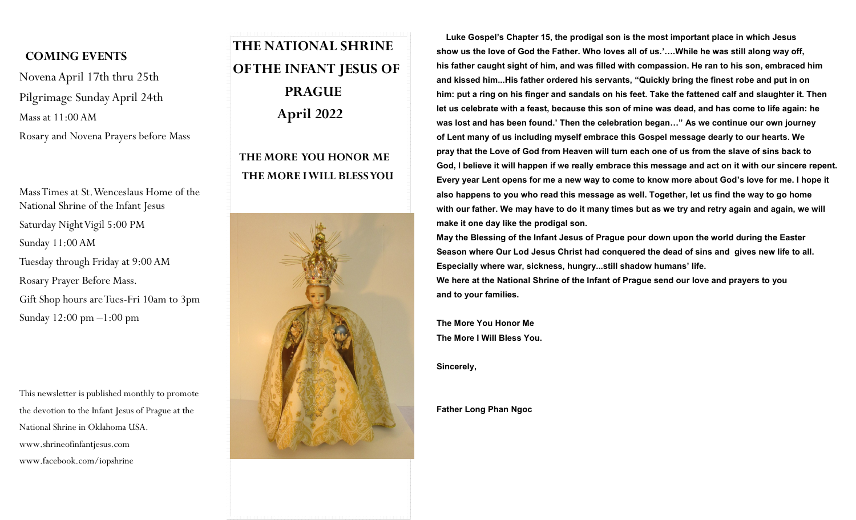## **COMING EVENTS**

Novena April 17th thru 25th Pilgrimage Sunday April 24th Mass at 11:00 AM Rosary and Novena Prayers before Mass

Mass Times at St. Wenceslaus Home of the National Shrine of the Infant Jesus Saturday Night Vigil 5:00 PM Sunday 11:00 AM Tuesday through Friday at 9:00 AM Rosary Prayer Before Mass. Gift Shop hours are Tues-Fri 10am to 3pm Sunday 12:00 pm –1:00 pm

This newsletter is published monthly to promote the devotion to the Infant Jesus of Prague at the National Shrine in Oklahoma USA. www.shrineofinfantjesus.com www.facebook.com/iopshrine

## **THE NATIONAL SHRINE OF THE INFANT JESUS OF PRAGUE April 2022**

## **THE MORE YOU HONOR ME THE MORE I WILL BLESS YOU**



 **Luke Gospel's Chapter 15, the prodigal son is the most important place in which Jesus show us the love of God the Father. Who loves all of us.'….While he was still along way off, his father caught sight of him, and was filled with compassion. He ran to his son, embraced him and kissed him...His father ordered his servants, "Quickly bring the finest robe and put in on him: put a ring on his finger and sandals on his feet. Take the fattened calf and slaughter it. Then let us celebrate with a feast, because this son of mine was dead, and has come to life again: he was lost and has been found.' Then the celebration began…" As we continue our own journey of Lent many of us including myself embrace this Gospel message dearly to our hearts. We pray that the Love of God from Heaven will turn each one of us from the slave of sins back to God, I believe it will happen if we really embrace this message and act on it with our sincere repent. Every year Lent opens for me a new way to come to know more about God's love for me. I hope it also happens to you who read this message as well. Together, let us find the way to go home with our father. We may have to do it many times but as we try and retry again and again, we will make it one day like the prodigal son.**

**May the Blessing of the Infant Jesus of Prague pour down upon the world during the Easter Season where Our Lod Jesus Christ had conquered the dead of sins and gives new life to all. Especially where war, sickness, hungry...still shadow humans' life.**

**We here at the National Shrine of the Infant of Prague send our love and prayers to you and to your families.**

**The More You Honor Me The More I Will Bless You.**

**Sincerely,**

**Father Long Phan Ngoc**